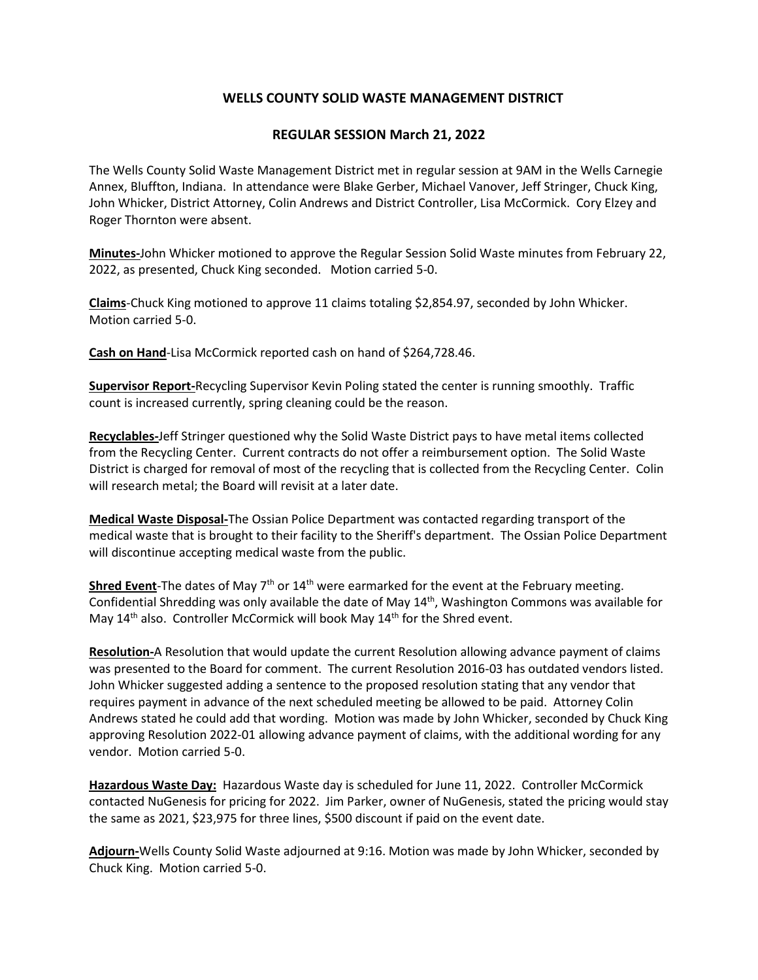## **WELLS COUNTY SOLID WASTE MANAGEMENT DISTRICT**

## **REGULAR SESSION March 21, 2022**

The Wells County Solid Waste Management District met in regular session at 9AM in the Wells Carnegie Annex, Bluffton, Indiana. In attendance were Blake Gerber, Michael Vanover, Jeff Stringer, Chuck King, John Whicker, District Attorney, Colin Andrews and District Controller, Lisa McCormick. Cory Elzey and Roger Thornton were absent.

**Minutes-**John Whicker motioned to approve the Regular Session Solid Waste minutes from February 22, 2022, as presented, Chuck King seconded. Motion carried 5-0.

**Claims**-Chuck King motioned to approve 11 claims totaling \$2,854.97, seconded by John Whicker. Motion carried 5-0.

**Cash on Hand**-Lisa McCormick reported cash on hand of \$264,728.46.

**Supervisor Report-**Recycling Supervisor Kevin Poling stated the center is running smoothly. Traffic count is increased currently, spring cleaning could be the reason.

**Recyclables-**Jeff Stringer questioned why the Solid Waste District pays to have metal items collected from the Recycling Center. Current contracts do not offer a reimbursement option. The Solid Waste District is charged for removal of most of the recycling that is collected from the Recycling Center. Colin will research metal; the Board will revisit at a later date.

**Medical Waste Disposal-**The Ossian Police Department was contacted regarding transport of the medical waste that is brought to their facility to the Sheriff's department. The Ossian Police Department will discontinue accepting medical waste from the public.

Shred Event-The dates of May 7<sup>th</sup> or 14<sup>th</sup> were earmarked for the event at the February meeting. Confidential Shredding was only available the date of May 14<sup>th</sup>, Washington Commons was available for May 14<sup>th</sup> also. Controller McCormick will book May 14<sup>th</sup> for the Shred event.

**Resolution-**A Resolution that would update the current Resolution allowing advance payment of claims was presented to the Board for comment. The current Resolution 2016-03 has outdated vendors listed. John Whicker suggested adding a sentence to the proposed resolution stating that any vendor that requires payment in advance of the next scheduled meeting be allowed to be paid. Attorney Colin Andrews stated he could add that wording. Motion was made by John Whicker, seconded by Chuck King approving Resolution 2022-01 allowing advance payment of claims, with the additional wording for any vendor. Motion carried 5-0.

**Hazardous Waste Day:** Hazardous Waste day is scheduled for June 11, 2022. Controller McCormick contacted NuGenesis for pricing for 2022. Jim Parker, owner of NuGenesis, stated the pricing would stay the same as 2021, \$23,975 for three lines, \$500 discount if paid on the event date.

**Adjourn-**Wells County Solid Waste adjourned at 9:16. Motion was made by John Whicker, seconded by Chuck King. Motion carried 5-0.